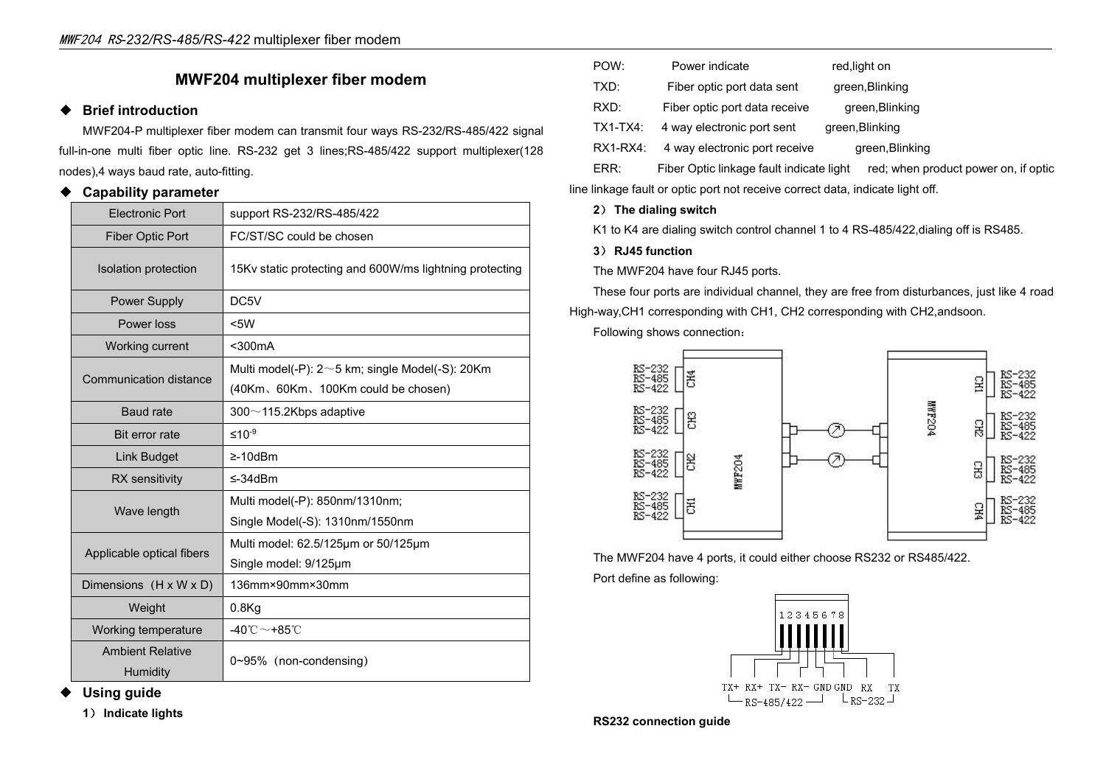# **MWF204 multiplexer fiber modem**

### ◆ **Brief introduction**

MWF204-P multiplexer fiber modem can transmit four ways RS-232/RS-485/422 signal full-in-one multi fiber optic line. RS-232 get 3 lines;RS-485/422 support multiplexer(128 RX1-RX4: nodes),4 ways baud rate, auto-fitting.

#### ◆ **Capability parameter**

| <b>Electronic Port</b>              | support RS-232/RS-485/422                                                                   | 2) The dialing switch                                  |
|-------------------------------------|---------------------------------------------------------------------------------------------|--------------------------------------------------------|
| Fiber Optic Port                    | FC/ST/SC could be chosen                                                                    | K1 to K4 are dialing switch control channel 1 to 4 RS- |
| Isolation protection                | 15Kv static protecting and 600W/ms lightning protecting                                     | 3) RJ45 function<br>The MWF204 have four RJ45 ports.   |
| Power Supply                        | DC5V                                                                                        | These four ports are individual channel, they are free |
| Power loss                          | <5W                                                                                         | High-way, CH1 corresponding with CH1, CH2 correspondir |
| Working current                     | $300mA$                                                                                     | Following shows connection:                            |
| Communication distance              | Multi model(-P): $2~5$ km; single Model(-S): $20$ Km<br>(40Km, 60Km, 100Km could be chosen) | RS-232<br>RS-485<br>RS-422<br>E                        |
| <b>Baud</b> rate                    | $300 \sim 115.2$ Kbps adaptive                                                              | RS-232<br>RS-485<br>RS-422<br>S.                       |
| Bit error rate                      | $≤10-9$                                                                                     |                                                        |
| Link Budget                         | $\geq$ -10dBm                                                                               | RS-232<br>RS-485<br>RS-422<br>S.                       |
| RX sensitivity                      | $\leq$ -34dBm                                                                               | <b>MWF204</b>                                          |
| Wave length                         | Multi model(-P): 850nm/1310nm;<br>Single Model(-S): 1310nm/1550nm                           | RS-232<br>RS-485<br>RS-422<br>롱                        |
| Applicable optical fibers           | Multi model: 62.5/125µm or 50/125µm<br>Single model: 9/125µm                                | The MWF204 have 4 ports, it could either choose RS:    |
| Dimensions $(H \times W \times D)$  | 136mm×90mm×30mm                                                                             | Port define as following:                              |
| Weight                              | $0.8$ Kg                                                                                    | 12345678                                               |
| Working temperature                 | -40 $^{\circ}$ C $\sim$ +85 $^{\circ}$ C                                                    |                                                        |
| <b>Ambient Relative</b><br>Humidity | $0\neg 95\%$ (non-condensing)                                                               |                                                        |

## POW: Power indicate red, light on Fiber optic port data sent green, Blinking RXD: Fiber optic port data receive green, Blinking 4 way electronic port sent green, Blinking 4 way electronic port receive green, Blinking ERR: Fiber Optic linkage fault indicate light red; when product power on, if optic

line linkage fault or optic port not receive correct data, indicate light off.

### **2**) **The dialing switch**

K1 to K4 are dialing switch control channel 1 to 4 RS-485/422, dialing off is RS485.

#### **3**) **RJ45 function**

These four ports are individual channel, they are free from disturbances, just like 4 road High-way,CH1 corresponding with CH1, CH2 corresponding with CH2,andsoon.



The MWF204 have 4 ports, it could either choose RS232 or RS485/422. Port define as following:



# ◆ **Using guide**

**1**) **Indicate lights**